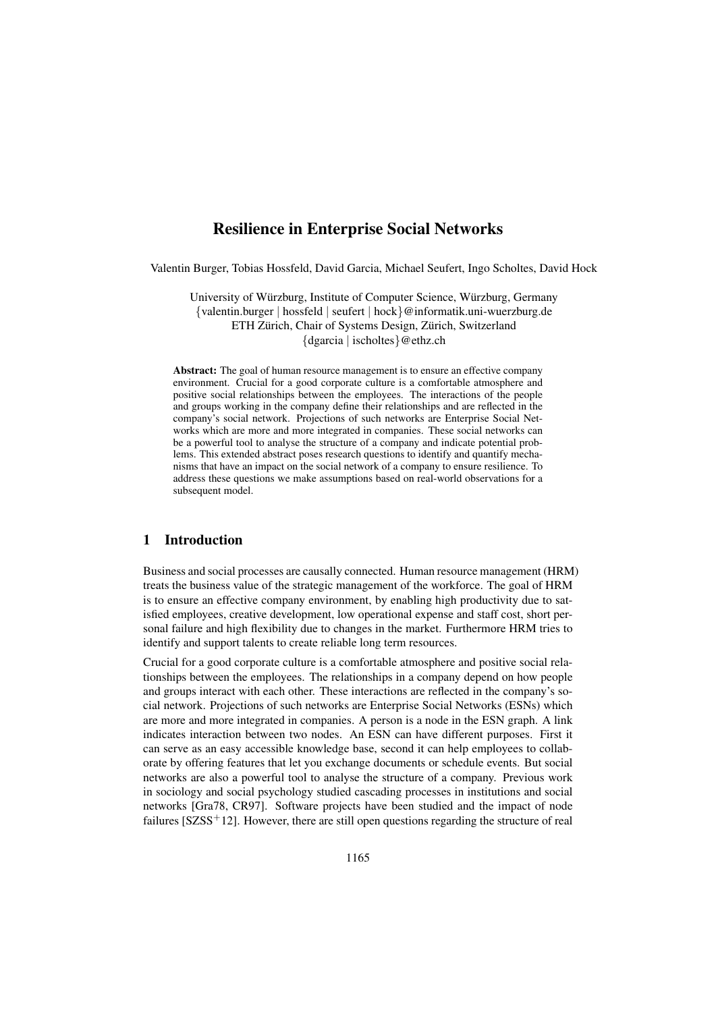# Resilience in Enterprise Social Networks

Valentin Burger, Tobias Hossfeld, David Garcia, Michael Seufert, Ingo Scholtes, David Hock

University of Würzburg, Institute of Computer Science, Würzburg, Germany {valentin.burger | hossfeld | seufert | hock}@informatik.uni-wuerzburg.de ETH Zürich, Chair of Systems Design, Zürich, Switzerland {dgarcia | ischoltes}@ethz.ch

Abstract: The goal of human resource management is to ensure an effective company environment. Crucial for a good corporate culture is a comfortable atmosphere and positive social relationships between the employees. The interactions of the people and groups working in the company define their relationships and are reflected in the company's social network. Projections of such networks are Enterprise Social Networks which are more and more integrated in companies. These social networks can be a powerful tool to analyse the structure of a company and indicate potential problems. This extended abstract poses research questions to identify and quantify mechanisms that have an impact on the social network of a company to ensure resilience. To address these questions we make assumptions based on real-world observations for a subsequent model.

### 1 Introduction

Business and social processes are causally connected. Human resource management (HRM) treats the business value of the strategic management of the workforce. The goal of HRM is to ensure an effective company environment, by enabling high productivity due to satisfied employees, creative development, low operational expense and staff cost, short personal failure and high flexibility due to changes in the market. Furthermore HRM tries to identify and support talents to create reliable long term resources.

Crucial for a good corporate culture is a comfortable atmosphere and positive social relationships between the employees. The relationships in a company depend on how people and groups interact with each other. These interactions are reflected in the company's social network. Projections of such networks are Enterprise Social Networks (ESNs) which are more and more integrated in companies. A person is a node in the ESN graph. A link indicates interaction between two nodes. An ESN can have different purposes. First it can serve as an easy accessible knowledge base, second it can help employees to collaborate by offering features that let you exchange documents or schedule events. But social networks are also a powerful tool to analyse the structure of a company. Previous work in sociology and social psychology studied cascading processes in institutions and social networks [Gra78, CR97]. Software projects have been studied and the impact of node failures  $[SZSS<sup>+</sup>12]$ . However, there are still open questions regarding the structure of real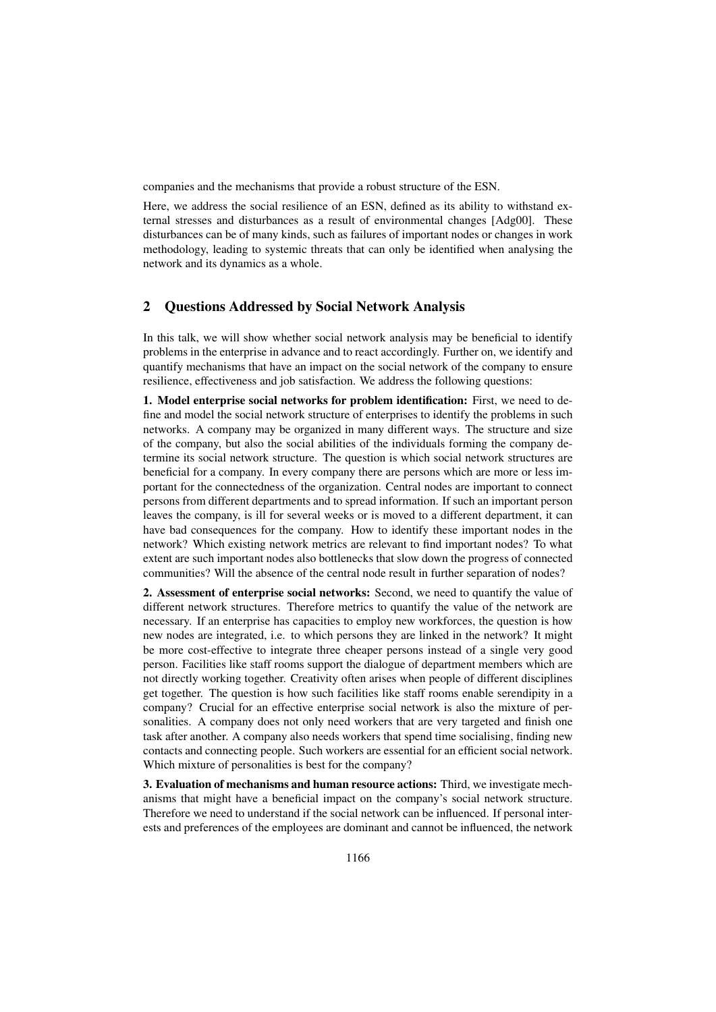companies and the mechanisms that provide a robust structure of the ESN.

Here, we address the social resilience of an ESN, defined as its ability to withstand external stresses and disturbances as a result of environmental changes [Adg00]. These disturbances can be of many kinds, such as failures of important nodes or changes in work methodology, leading to systemic threats that can only be identified when analysing the network and its dynamics as a whole.

## 2 Questions Addressed by Social Network Analysis

In this talk, we will show whether social network analysis may be beneficial to identify problems in the enterprise in advance and to react accordingly. Further on, we identify and quantify mechanisms that have an impact on the social network of the company to ensure resilience, effectiveness and job satisfaction. We address the following questions:

1. Model enterprise social networks for problem identification: First, we need to define and model the social network structure of enterprises to identify the problems in such networks. A company may be organized in many different ways. The structure and size of the company, but also the social abilities of the individuals forming the company determine its social network structure. The question is which social network structures are beneficial for a company. In every company there are persons which are more or less important for the connectedness of the organization. Central nodes are important to connect persons from different departments and to spread information. If such an important person leaves the company, is ill for several weeks or is moved to a different department, it can have bad consequences for the company. How to identify these important nodes in the network? Which existing network metrics are relevant to find important nodes? To what extent are such important nodes also bottlenecks that slow down the progress of connected communities? Will the absence of the central node result in further separation of nodes?

2. Assessment of enterprise social networks: Second, we need to quantify the value of different network structures. Therefore metrics to quantify the value of the network are necessary. If an enterprise has capacities to employ new workforces, the question is how new nodes are integrated, i.e. to which persons they are linked in the network? It might be more cost-effective to integrate three cheaper persons instead of a single very good person. Facilities like staff rooms support the dialogue of department members which are not directly working together. Creativity often arises when people of different disciplines get together. The question is how such facilities like staff rooms enable serendipity in a company? Crucial for an effective enterprise social network is also the mixture of personalities. A company does not only need workers that are very targeted and finish one task after another. A company also needs workers that spend time socialising, finding new contacts and connecting people. Such workers are essential for an efficient social network. Which mixture of personalities is best for the company?

3. Evaluation of mechanisms and human resource actions: Third, we investigate mechanisms that might have a beneficial impact on the company's social network structure. Therefore we need to understand if the social network can be influenced. If personal interests and preferences of the employees are dominant and cannot be influenced, the network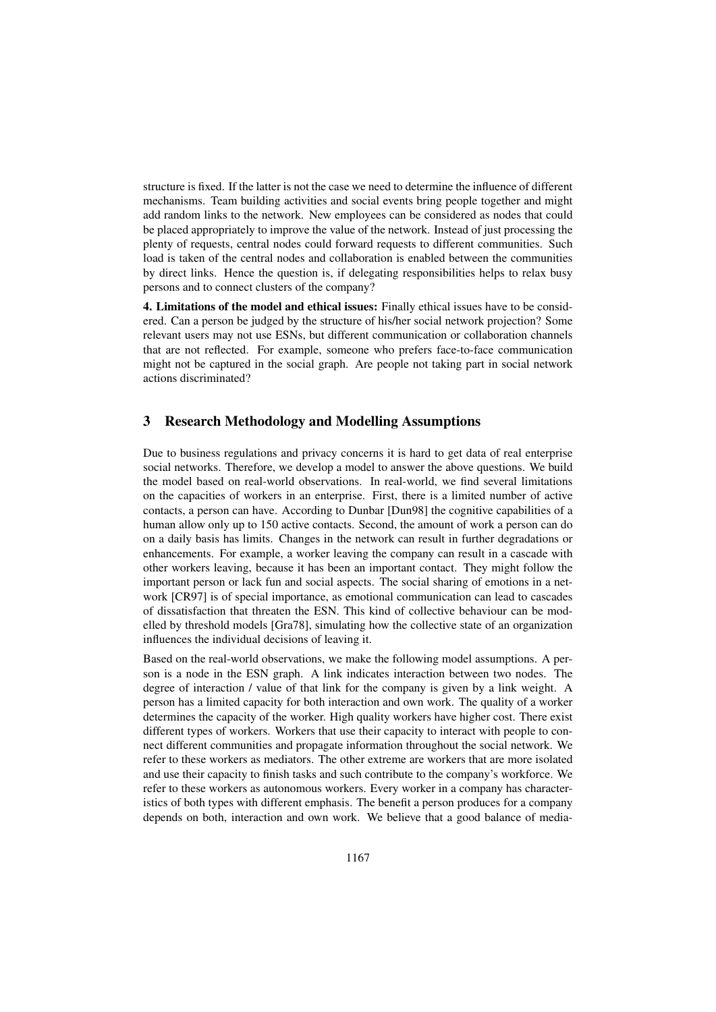structure is fixed. If the latter is not the case we need to determine the influence of different mechanisms. Team building activities and social events bring people together and might add random links to the network. New employees can be considered as nodes that could be placed appropriately to improve the value of the network. Instead of just processing the plenty of requests, central nodes could forward requests to different communities. Such load is taken of the central nodes and collaboration is enabled between the communities by direct links. Hence the question is, if delegating responsibilities helps to relax busy persons and to connect clusters of the company?

4. Limitations of the model and ethical issues: Finally ethical issues have to be considered. Can a person be judged by the structure of his/her social network projection? Some relevant users may not use ESNs, but different communication or collaboration channels that are not reflected. For example, someone who prefers face-to-face communication might not be captured in the social graph. Are people not taking part in social network actions discriminated?

### 3 Research Methodology and Modelling Assumptions

Due to business regulations and privacy concerns it is hard to get data of real enterprise social networks. Therefore, we develop a model to answer the above questions. We build the model based on real-world observations. In real-world, we find several limitations on the capacities of workers in an enterprise. First, there is a limited number of active contacts, a person can have. According to Dunbar [Dun98] the cognitive capabilities of a human allow only up to 150 active contacts. Second, the amount of work a person can do on a daily basis has limits. Changes in the network can result in further degradations or enhancements. For example, a worker leaving the company can result in a cascade with other workers leaving, because it has been an important contact. They might follow the important person or lack fun and social aspects. The social sharing of emotions in a network [CR97] is of special importance, as emotional communication can lead to cascades of dissatisfaction that threaten the ESN. This kind of collective behaviour can be modelled by threshold models [Gra78], simulating how the collective state of an organization influences the individual decisions of leaving it.

Based on the real-world observations, we make the following model assumptions. A person is a node in the ESN graph. A link indicates interaction between two nodes. The degree of interaction / value of that link for the company is given by a link weight. A person has a limited capacity for both interaction and own work. The quality of a worker determines the capacity of the worker. High quality workers have higher cost. There exist different types of workers. Workers that use their capacity to interact with people to connect different communities and propagate information throughout the social network. We refer to these workers as mediators. The other extreme are workers that are more isolated and use their capacity to finish tasks and such contribute to the company's workforce. We refer to these workers as autonomous workers. Every worker in a company has characteristics of both types with different emphasis. The benefit a person produces for a company depends on both, interaction and own work. We believe that a good balance of media